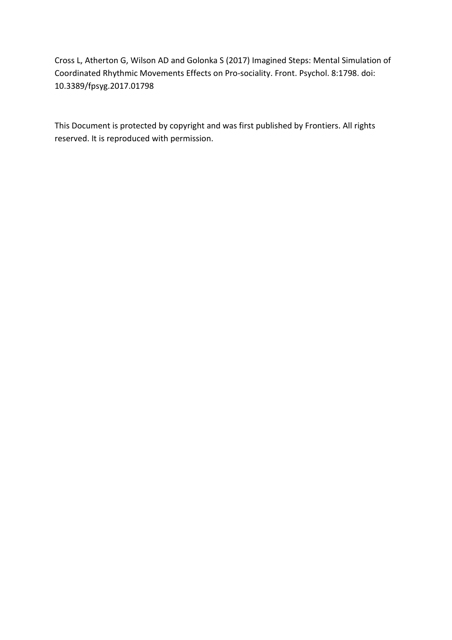Cross L, Atherton G, Wilson AD and Golonka S (2017) Imagined Steps: Mental Simulation of Coordinated Rhythmic Movements Effects on Pro-sociality. Front. Psychol. 8:1798. doi: 10.3389/fpsyg.2017.01798

This Document is protected by copyright and was first published by Frontiers. All rights reserved. It is reproduced with permission.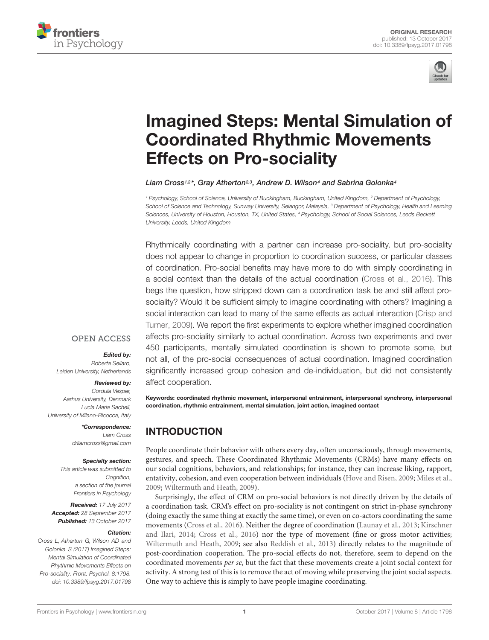



# [Imagined Steps: Mental Simulation of](https://www.frontiersin.org/articles/10.3389/fpsyg.2017.01798/full) Coordinated Rhythmic Movements Effects on Pro-sociality

#### [Liam Cross](http://loop.frontiersin.org/people/380756/overview)1,2\*, [Gray Atherton](http://loop.frontiersin.org/people/483761/overview)<sup>2,3</sup>, [Andrew D. Wilson](http://loop.frontiersin.org/people/26821/overview)<sup>4</sup> and [Sabrina Golonka](http://loop.frontiersin.org/people/47023/overview)<sup>4</sup>

<sup>1</sup> Psychology, School of Science, University of Buckingham, Buckingham, United Kingdom, <sup>2</sup> Department of Psychology, School of Science and Technology, Sunway University, Selangor, Malaysia, <sup>3</sup> Department of Psychology, Health and Learning Sciences, University of Houston, Houston, TX, United States, <sup>4</sup> Psychology, School of Social Sciences, Leeds Beckett University, Leeds, United Kingdom

Rhythmically coordinating with a partner can increase pro-sociality, but pro-sociality does not appear to change in proportion to coordination success, or particular classes of coordination. Pro-social benefits may have more to do with simply coordinating in a social context than the details of the actual coordination [\(Cross et al.,](#page-9-0) [2016\)](#page-9-0). This begs the question, how stripped down can a coordination task be and still affect prosociality? Would it be sufficient simply to imagine coordinating with others? Imagining a social interaction can lead to many of the same effects as actual interaction [\(Crisp and](#page-9-1) [Turner,](#page-9-1) [2009\)](#page-9-1). We report the first experiments to explore whether imagined coordination affects pro-sociality similarly to actual coordination. Across two experiments and over 450 participants, mentally simulated coordination is shown to promote some, but not all, of the pro-social consequences of actual coordination. Imagined coordination significantly increased group cohesion and de-individuation, but did not consistently affect cooperation.

## **OPEN ACCESS**

#### Edited by:

Roberta Sellaro, Leiden University, Netherlands

#### Reviewed by:

Cordula Vesper, Aarhus University, Denmark Lucia Maria Sacheli, University of Milano-Bicocca, Italy

> \*Correspondence: Liam Cross drliamcross@gmail.com

#### Specialty section:

This article was submitted to Cognition, a section of the journal Frontiers in Psychology

Received: 17 July 2017 Accepted: 28 September 2017 Published: 13 October 2017

#### Citation:

Cross L, Atherton G, Wilson AD and Golonka S (2017) Imagined Steps: Mental Simulation of Coordinated Rhythmic Movements Effects on Pro-sociality. Front. Psychol. 8:1798. doi: [10.3389/fpsyg.2017.01798](https://doi.org/10.3389/fpsyg.2017.01798) Keywords: coordinated rhythmic movement, interpersonal entrainment, interpersonal synchrony, interpersonal coordination, rhythmic entrainment, mental simulation, joint action, imagined contact

# INTRODUCTION

People coordinate their behavior with others every day, often unconsciously, through movements, gestures, and speech. These Coordinated Rhythmic Movements (CRMs) have many effects on our social cognitions, behaviors, and relationships; for instance, they can increase liking, rapport, entativity, cohesion, and even cooperation between individuals [\(Hove and Risen,](#page-10-0) [2009;](#page-10-0) [Miles et al.,](#page-10-1) [2009;](#page-10-1) [Wiltermuth and Heath,](#page-10-2) [2009\)](#page-10-2).

Surprisingly, the effect of CRM on pro-social behaviors is not directly driven by the details of a coordination task. CRM's effect on pro-sociality is not contingent on strict in-phase synchrony (doing exactly the same thing at exactly the same time), or even on co-actors coordinating the same movements [\(Cross et al.,](#page-9-0) [2016\)](#page-9-0). Neither the degree of coordination [\(Launay et al.,](#page-10-3) [2013;](#page-10-3) [Kirschner](#page-10-4) [and Ilari,](#page-10-4) [2014;](#page-10-4) [Cross et al.,](#page-9-0) [2016\)](#page-9-0) nor the type of movement (fine or gross motor activities; [Wiltermuth and Heath,](#page-10-2) [2009;](#page-10-2) see also [Reddish et al.,](#page-10-5) [2013\)](#page-10-5) directly relates to the magnitude of post-coordination cooperation. The pro-social effects do not, therefore, seem to depend on the coordinated movements *per se*, but the fact that these movements create a joint social context for activity. A strong test of this is to remove the act of moving while preserving the joint social aspects. One way to achieve this is simply to have people imagine coordinating.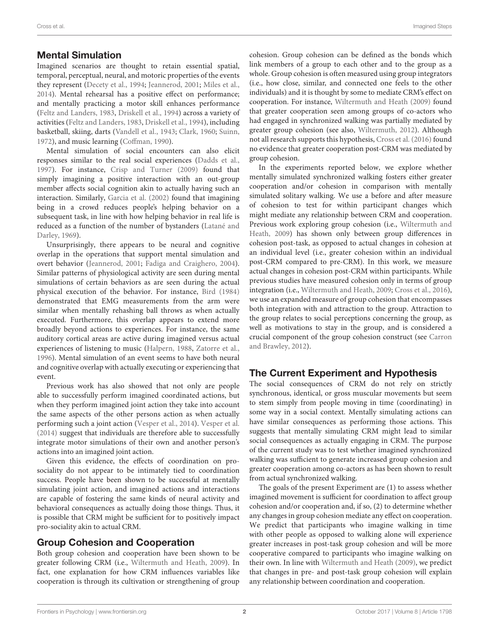## Mental Simulation

Imagined scenarios are thought to retain essential spatial, temporal, perceptual, neural, and motoric properties of the events they represent [\(Decety et al.,](#page-9-2) [1994;](#page-9-2) [Jeannerod,](#page-10-6) [2001;](#page-10-6) [Miles et al.,](#page-10-7) [2014\)](#page-10-7). Mental rehearsal has a positive effect on performance; and mentally practicing a motor skill enhances performance [\(Feltz and Landers,](#page-9-3) [1983,](#page-9-3) [Driskell et al.,](#page-9-4) [1994\)](#page-9-4) across a variety of activities [\(Feltz and Landers,](#page-9-3) [1983,](#page-9-3) [Driskell et al.,](#page-9-4) [1994\)](#page-9-4), including basketball, skiing, darts [\(Vandell et al.,](#page-10-8) [1943;](#page-10-8) [Clark,](#page-9-5) [1960;](#page-9-5) [Suinn,](#page-10-9) [1972\)](#page-10-9), and music learning [\(Coffman,](#page-9-6) [1990\)](#page-9-6).

Mental simulation of social encounters can also elicit responses similar to the real social experiences [\(Dadds et al.,](#page-9-7) [1997\)](#page-9-7). For instance, [Crisp and Turner](#page-9-1) [\(2009\)](#page-9-1) found that simply imagining a positive interaction with an out-group member affects social cognition akin to actually having such an interaction. Similarly, [Garcia et al.](#page-9-8) [\(2002\)](#page-9-8) found that imagining being in a crowd reduces people's helping behavior on a subsequent task, in line with how helping behavior in real life is reduced as a function of the number of bystanders [\(Latané and](#page-10-10) [Darley,](#page-10-10) [1969\)](#page-10-10).

Unsurprisingly, there appears to be neural and cognitive overlap in the operations that support mental simulation and overt behavior [\(Jeannerod,](#page-10-6) [2001;](#page-10-6) [Fadiga and Craighero,](#page-9-9) [2004\)](#page-9-9). Similar patterns of physiological activity are seen during mental simulations of certain behaviors as are seen during the actual physical execution of the behavior. For instance, [Bird](#page-9-10) [\(1984\)](#page-9-10) demonstrated that EMG measurements from the arm were similar when mentally rehashing ball throws as when actually executed. Furthermore, this overlap appears to extend more broadly beyond actions to experiences. For instance, the same auditory cortical areas are active during imagined versus actual experiences of listening to music [\(Halpern,](#page-9-11) [1988,](#page-9-11) [Zatorre et al.,](#page-10-11) [1996\)](#page-10-11). Mental simulation of an event seems to have both neural and cognitive overlap with actually executing or experiencing that event.

Previous work has also showed that not only are people able to successfully perform imagined coordinated actions, but when they perform imagined joint action they take into account the same aspects of the other persons action as when actually performing such a joint action [\(Vesper et al.,](#page-10-12) [2014\)](#page-10-12). [Vesper et al.](#page-10-12) [\(2014\)](#page-10-12) suggest that individuals are therefore able to successfully integrate motor simulations of their own and another person's actions into an imagined joint action.

Given this evidence, the effects of coordination on prosociality do not appear to be intimately tied to coordination success. People have been shown to be successful at mentally simulating joint action, and imagined actions and interactions are capable of fostering the same kinds of neural activity and behavioral consequences as actually doing those things. Thus, it is possible that CRM might be sufficient for to positively impact pro-sociality akin to actual CRM.

## Group Cohesion and Cooperation

Both group cohesion and cooperation have been shown to be greater following CRM (i.e., [Wiltermuth and Heath,](#page-10-2) [2009\)](#page-10-2). In fact, one explanation for how CRM influences variables like cooperation is through its cultivation or strengthening of group

cohesion. Group cohesion can be defined as the bonds which link members of a group to each other and to the group as a whole. Group cohesion is often measured using group integrators (i.e., how close, similar, and connected one feels to the other individuals) and it is thought by some to mediate CRM's effect on cooperation. For instance, [Wiltermuth and Heath](#page-10-2) [\(2009\)](#page-10-2) found that greater cooperation seen among groups of co-actors who had engaged in synchronized walking was partially mediated by greater group cohesion (see also, [Wiltermuth,](#page-10-13) [2012\)](#page-10-13). Although not all research supports this hypothesis, [Cross et al.](#page-9-0) [\(2016\)](#page-9-0) found no evidence that greater cooperation post-CRM was mediated by group cohesion.

In the experiments reported below, we explore whether mentally simulated synchronized walking fosters either greater cooperation and/or cohesion in comparison with mentally simulated solitary walking. We use a before and after measure of cohesion to test for within participant changes which might mediate any relationship between CRM and cooperation. Previous work exploring group cohesion (i.e., [Wiltermuth and](#page-10-2) [Heath,](#page-10-2) [2009\)](#page-10-2) has shown only between group differences in cohesion post-task, as opposed to actual changes in cohesion at an individual level (i.e., greater cohesion within an individual post-CRM compared to pre-CRM). In this work, we measure actual changes in cohesion post-CRM within participants. While previous studies have measured cohesion only in terms of group integration (i.e., [Wiltermuth and Heath,](#page-10-2) [2009;](#page-10-2) [Cross et al.,](#page-9-0) [2016\)](#page-9-0), we use an expanded measure of group cohesion that encompasses both integration with and attraction to the group. Attraction to the group relates to social perceptions concerning the group, as well as motivations to stay in the group, and is considered a crucial component of the group cohesion construct (see [Carron](#page-9-12) [and Brawley,](#page-9-12) [2012\)](#page-9-12).

## The Current Experiment and Hypothesis

The social consequences of CRM do not rely on strictly synchronous, identical, or gross muscular movements but seem to stem simply from people moving in time (coordinating) in some way in a social context. Mentally simulating actions can have similar consequences as performing those actions. This suggests that mentally simulating CRM might lead to similar social consequences as actually engaging in CRM. The purpose of the current study was to test whether imagined synchronized walking was sufficient to generate increased group cohesion and greater cooperation among co-actors as has been shown to result from actual synchronized walking.

The goals of the present Experiment are (1) to assess whether imagined movement is sufficient for coordination to affect group cohesion and/or cooperation and, if so, (2) to determine whether any changes in group cohesion mediate any effect on cooperation. We predict that participants who imagine walking in time with other people as opposed to walking alone will experience greater increases in post-task group cohesion and will be more cooperative compared to participants who imagine walking on their own. In line with [Wiltermuth and Heath](#page-10-2) [\(2009\)](#page-10-2), we predict that changes in pre- and post-task group cohesion will explain any relationship between coordination and cooperation.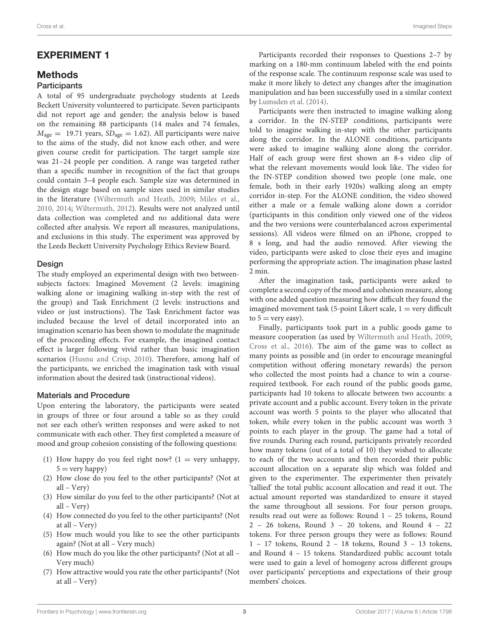## EXPERIMENT 1

## **Methods Participants**

A total of 95 undergraduate psychology students at Leeds Beckett University volunteered to participate. Seven participants did not report age and gender; the analysis below is based on the remaining 88 participants (14 males and 74 females,  $M_{\text{age}} = 19.71$  years,  $SD_{\text{age}} = 1.62$ ). All participants were naive to the aims of the study, did not know each other, and were given course credit for participation. The target sample size was 21–24 people per condition. A range was targeted rather than a specific number in recognition of the fact that groups could contain 3–4 people each. Sample size was determined in the design stage based on sample sizes used in similar studies in the literature [\(Wiltermuth and Heath,](#page-10-2) [2009;](#page-10-2) [Miles et al.,](#page-10-14) [2010,](#page-10-14) [2014;](#page-10-7) [Wiltermuth,](#page-10-13) [2012\)](#page-10-13). Results were not analyzed until data collection was completed and no additional data were collected after analysis. We report all measures, manipulations, and exclusions in this study. The experiment was approved by the Leeds Beckett University Psychology Ethics Review Board.

#### Design

The study employed an experimental design with two betweensubjects factors: Imagined Movement (2 levels: imagining walking alone or imagining walking in-step with the rest of the group) and Task Enrichment (2 levels: instructions and video or just instructions). The Task Enrichment factor was included because the level of detail incorporated into an imagination scenario has been shown to modulate the magnitude of the proceeding effects. For example, the imagined contact effect is larger following vivid rather than basic imagination scenarios [\(Husnu and Crisp,](#page-10-15) [2010\)](#page-10-15). Therefore, among half of the participants, we enriched the imagination task with visual information about the desired task (instructional videos).

## Materials and Procedure

Upon entering the laboratory, the participants were seated in groups of three or four around a table so as they could not see each other's written responses and were asked to not communicate with each other. They first completed a measure of mood and group cohesion consisting of the following questions:

- (1) How happy do you feel right now?  $(1 = \text{very unhappy},$  $5 = \text{very happy}$
- (2) How close do you feel to the other participants? (Not at all – Very)
- (3) How similar do you feel to the other participants? (Not at all – Very)
- (4) How connected do you feel to the other participants? (Not at all – Very)
- (5) How much would you like to see the other participants again? (Not at all – Very much)
- (6) How much do you like the other participants? (Not at all Very much)
- (7) How attractive would you rate the other participants? (Not at all – Very)

Participants recorded their responses to Questions 2–7 by marking on a 180-mm continuum labeled with the end points of the response scale. The continuum response scale was used to make it more likely to detect any changes after the imagination manipulation and has been successfully used in a similar context by [Lumsden et al.](#page-10-16) [\(2014\)](#page-10-16).

Participants were then instructed to imagine walking along a corridor. In the IN-STEP conditions, participants were told to imagine walking in-step with the other participants along the corridor. In the ALONE conditions, participants were asked to imagine walking alone along the corridor. Half of each group were first shown an 8-s video clip of what the relevant movements would look like. The video for the IN-STEP condition showed two people (one male, one female, both in their early 1920s) walking along an empty corridor in-step. For the ALONE condition, the video showed either a male or a female walking alone down a corridor (participants in this condition only viewed one of the videos and the two versions were counterbalanced across experimental sessions). All videos were filmed on an iPhone, cropped to 8 s long, and had the audio removed. After viewing the video, participants were asked to close their eyes and imagine performing the appropriate action. The imagination phase lasted 2 min.

After the imagination task, participants were asked to complete a second copy of the mood and cohesion measure, along with one added question measuring how difficult they found the imagined movement task  $(5\text{-point Likert scale}, 1 = \text{very difficult})$ to  $5 =$  very easy).

Finally, participants took part in a public goods game to measure cooperation (as used by [Wiltermuth and Heath,](#page-10-2) [2009;](#page-10-2) [Cross et al.,](#page-9-0) [2016\)](#page-9-0). The aim of the game was to collect as many points as possible and (in order to encourage meaningful competition without offering monetary rewards) the person who collected the most points had a chance to win a courserequired textbook. For each round of the public goods game, participants had 10 tokens to allocate between two accounts: a private account and a public account. Every token in the private account was worth 5 points to the player who allocated that token, while every token in the public account was worth 3 points to each player in the group. The game had a total of five rounds. During each round, participants privately recorded how many tokens (out of a total of 10) they wished to allocate to each of the two accounts and then recorded their public account allocation on a separate slip which was folded and given to the experimenter. The experimenter then privately 'tallied' the total public account allocation and read it out. The actual amount reported was standardized to ensure it stayed the same throughout all sessions. For four person groups, results read out were as follows: Round 1 – 25 tokens, Round 2 – 26 tokens, Round 3 – 20 tokens, and Round 4 – 22 tokens. For three person groups they were as follows: Round 1 – 17 tokens, Round 2 – 18 tokens, Round 3 – 13 tokens, and Round 4 – 15 tokens. Standardized public account totals were used to gain a level of homogeny across different groups over participants' perceptions and expectations of their group members' choices.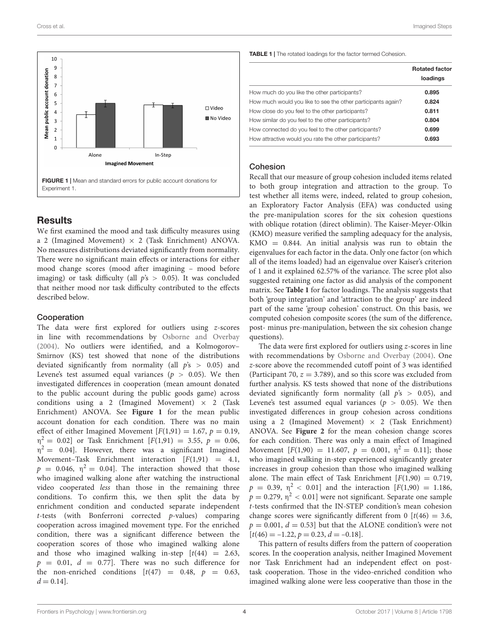

## <span id="page-4-0"></span>**Results**

We first examined the mood and task difficulty measures using a 2 (Imagined Movement)  $\times$  2 (Task Enrichment) ANOVA. No measures distributions deviated significantly from normality. There were no significant main effects or interactions for either mood change scores (mood after imagining – mood before imaging) or task difficulty (all  $p's > 0.05$ ). It was concluded that neither mood nor task difficulty contributed to the effects described below.

#### Cooperation

The data were first explored for outliers using z-scores in line with recommendations by [Osborne and Overbay](#page-10-17) [\(2004\)](#page-10-17). No outliers were identified, and a Kolmogorov– Smirnov (KS) test showed that none of the distributions deviated significantly from normality (all  $p's > 0.05$ ) and Levene's test assumed equal variances ( $p > 0.05$ ). We then investigated differences in cooperation (mean amount donated to the public account during the public goods game) across conditions using a 2 (Imagined Movement)  $\times$  2 (Task Enrichment) ANOVA. See **[Figure 1](#page-4-0)** for the mean public account donation for each condition. There was no main effect of either Imagined Movement  $[F(1,91) = 1.67, p = 0.19,$  $\eta^2 = 0.02$ ] or Task Enrichment [F(1,91) = 3.55, p = 0.06,  $\eta^2 = 0.04$ ]. However, there was a significant Imagined Movement–Task Enrichment interaction  $[F(1,91) = 4.1]$ ,  $p = 0.046$ ,  $\eta^2 = 0.04$ ]. The interaction showed that those who imagined walking alone after watching the instructional video cooperated less than those in the remaining three conditions. To confirm this, we then split the data by enrichment condition and conducted separate independent t-tests (with Bonferroni corrected p-values) comparing cooperation across imagined movement type. For the enriched condition, there was a significant difference between the cooperation scores of those who imagined walking alone and those who imagined walking in-step  $[t(44) = 2.63]$ ,  $p = 0.01$ ,  $d = 0.77$ ]. There was no such difference for the non-enriched conditions  $[t(47) = 0.48, p = 0.63,$  $d = 0.14$ .

<span id="page-4-1"></span>TABLE 1 | The rotated loadings for the factor termed Cohesion.

|                                                              | <b>Rotated factor</b><br>loadings |
|--------------------------------------------------------------|-----------------------------------|
| How much do you like the other participants?                 | 0.895                             |
| How much would you like to see the other participants again? | 0.824                             |
| How close do you feel to the other participants?             | 0.811                             |
| How similar do you feel to the other participants?           | 0.804                             |
| How connected do you feel to the other participants?         | 0.699                             |
| How attractive would you rate the other participants?        | 0.693                             |

#### Cohesion

Recall that our measure of group cohesion included items related to both group integration and attraction to the group. To test whether all items were, indeed, related to group cohesion, an Exploratory Factor Analysis (EFA) was conducted using the pre-manipulation scores for the six cohesion questions with oblique rotation (direct oblimin). The Kaiser-Meyer-Olkin (KMO) measure verified the sampling adequacy for the analysis,  $KMO = 0.844$ . An initial analysis was run to obtain the eigenvalues for each factor in the data. Only one factor (on which all of the items loaded) had an eigenvalue over Kaiser's criterion of 1 and it explained 62.57% of the variance. The scree plot also suggested retaining one factor as did analysis of the component matrix. See **[Table 1](#page-4-1)** for factor loadings. The analysis suggests that both 'group integration' and 'attraction to the group' are indeed part of the same 'group cohesion' construct. On this basis, we computed cohesion composite scores (the sum of the difference, post- minus pre-manipulation, between the six cohesion change questions).

The data were first explored for outliers using z-scores in line with recommendations by [Osborne and Overbay](#page-10-17) [\(2004\)](#page-10-17). One z-score above the recommended cutoff point of 3 was identified (Participant 70,  $z = 3.789$ ), and so this score was excluded from further analysis. KS tests showed that none of the distributions deviated significantly form normality (all  $p's > 0.05$ ), and Levene's test assumed equal variances ( $p > 0.05$ ). We then investigated differences in group cohesion across conditions using a 2 (Imagined Movement)  $\times$  2 (Task Enrichment) ANOVA. See **[Figure 2](#page-5-0)** for the mean cohesion change scores for each condition. There was only a main effect of Imagined Movement  $[F(1,90) = 11.607, p = 0.001, \eta^2 = 0.11]$ ; those who imagined walking in-step experienced significantly greater increases in group cohesion than those who imagined walking alone. The main effect of Task Enrichment  $[F(1,90) = 0.719,$  $p = 0.39, \; \eta^2 < 0.01$ ] and the interaction  $[F(1,90) = 1.186,$  $p = 0.279$ ,  $\eta^2 < 0.01$ ] were not significant. Separate one sample t-tests confirmed that the IN-STEP condition's mean cohesion change scores were significantly different from 0  $[t(46) = 3.6,$  $p = 0.001$ ,  $d = 0.53$  but that the ALONE condition's were not  $[t(46) = -1.22, p = 0.23, d = -0.18].$ 

This pattern of results differs from the pattern of cooperation scores. In the cooperation analysis, neither Imagined Movement nor Task Enrichment had an independent effect on posttask cooperation. Those in the video-enriched condition who imagined walking alone were less cooperative than those in the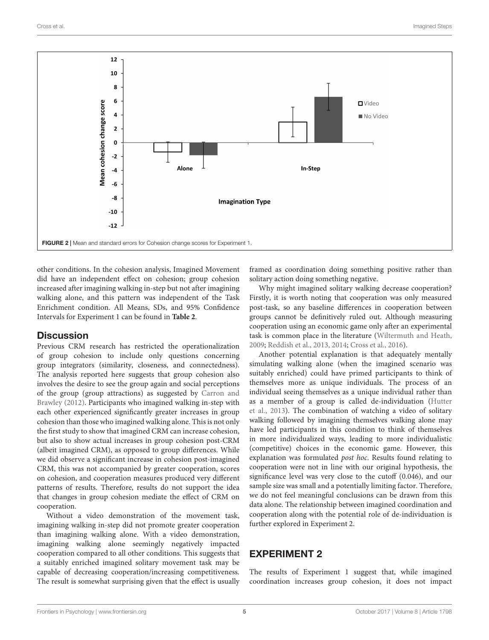

<span id="page-5-0"></span>other conditions. In the cohesion analysis, Imagined Movement did have an independent effect on cohesion; group cohesion increased after imagining walking in-step but not after imagining walking alone, and this pattern was independent of the Task Enrichment condition. All Means, SDs, and 95% Confidence Intervals for Experiment 1 can be found in **[Table 2](#page-6-0)**.

## **Discussion**

Previous CRM research has restricted the operationalization of group cohesion to include only questions concerning group integrators (similarity, closeness, and connectedness). The analysis reported here suggests that group cohesion also involves the desire to see the group again and social perceptions of the group (group attractions) as suggested by [Carron and](#page-9-12) [Brawley](#page-9-12) [\(2012\)](#page-9-12). Participants who imagined walking in-step with each other experienced significantly greater increases in group cohesion than those who imagined walking alone. This is not only the first study to show that imagined CRM can increase cohesion, but also to show actual increases in group cohesion post-CRM (albeit imagined CRM), as opposed to group differences. While we did observe a significant increase in cohesion post-imagined CRM, this was not accompanied by greater cooperation, scores on cohesion, and cooperation measures produced very different patterns of results. Therefore, results do not support the idea that changes in group cohesion mediate the effect of CRM on cooperation.

Without a video demonstration of the movement task, imagining walking in-step did not promote greater cooperation than imagining walking alone. With a video demonstration, imagining walking alone seemingly negatively impacted cooperation compared to all other conditions. This suggests that a suitably enriched imagined solitary movement task may be capable of decreasing cooperation/increasing competitiveness. The result is somewhat surprising given that the effect is usually

framed as coordination doing something positive rather than solitary action doing something negative.

Why might imagined solitary walking decrease cooperation? Firstly, it is worth noting that cooperation was only measured post-task, so any baseline differences in cooperation between groups cannot be definitively ruled out. Although measuring cooperation using an economic game only after an experimental task is common place in the literature [\(Wiltermuth and Heath,](#page-10-2) [2009;](#page-10-2) [Reddish et al.,](#page-10-5) [2013,](#page-10-5) [2014;](#page-10-18) [Cross et al.,](#page-9-0) [2016\)](#page-9-0).

Another potential explanation is that adequately mentally simulating walking alone (when the imagined scenario was suitably enriched) could have primed participants to think of themselves more as unique individuals. The process of an individual seeing themselves as a unique individual rather than as a member of a group is called de-individuation [\(Hutter](#page-10-19) [et al.,](#page-10-19) [2013\)](#page-10-19). The combination of watching a video of solitary walking followed by imagining themselves walking alone may have led participants in this condition to think of themselves in more individualized ways, leading to more individualistic (competitive) choices in the economic game. However, this explanation was formulated post hoc. Results found relating to cooperation were not in line with our original hypothesis, the significance level was very close to the cutoff (0.046), and our sample size was small and a potentially limiting factor. Therefore, we do not feel meaningful conclusions can be drawn from this data alone. The relationship between imagined coordination and cooperation along with the potential role of de-individuation is further explored in Experiment 2.

## EXPERIMENT 2

The results of Experiment 1 suggest that, while imagined coordination increases group cohesion, it does not impact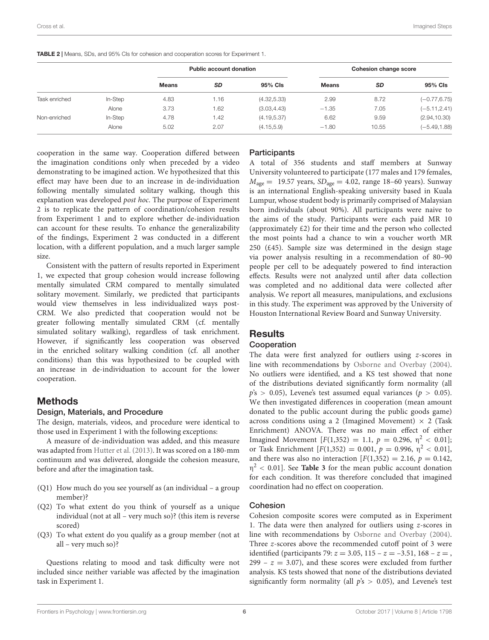|               |         |              | <b>Public account donation</b> |              | Cohesion change score |           |                 |  |
|---------------|---------|--------------|--------------------------------|--------------|-----------------------|-----------|-----------------|--|
|               |         | <b>Means</b> | <b>SD</b>                      | 95% Cls      | <b>Means</b>          | <b>SD</b> | 95% CIs         |  |
| Task enriched | In-Step | 4.83         | 1.16                           | (4.32, 5.33) | 2.99                  | 8.72      | $(-0.77, 6.75)$ |  |
|               | Alone   | 3.73         | 1.62                           | (3.03, 4.43) | $-1.35$               | 7.05      | $(-5.11, 2.41)$ |  |
| Non-enriched  | In-Step | 4.78         | 1.42                           | (4.19, 5.37) | 6.62                  | 9.59      | (2.94, 10.30)   |  |
|               | Alone   | 5.02         | 2.07                           | (4.15, 5.9)  | $-1.80$               | 10.55     | $(-5.49, 1.88)$ |  |

<span id="page-6-0"></span>TABLE 2 | Means, SDs, and 95% CIs for cohesion and cooperation scores for Experiment 1.

cooperation in the same way. Cooperation differed between the imagination conditions only when preceded by a video demonstrating to be imagined action. We hypothesized that this effect may have been due to an increase in de-individuation following mentally simulated solitary walking, though this explanation was developed post hoc. The purpose of Experiment 2 is to replicate the pattern of coordination/cohesion results from Experiment 1 and to explore whether de-individuation can account for these results. To enhance the generalizability of the findings, Experiment 2 was conducted in a different location, with a different population, and a much larger sample size.

Consistent with the pattern of results reported in Experiment 1, we expected that group cohesion would increase following mentally simulated CRM compared to mentally simulated solitary movement. Similarly, we predicted that participants would view themselves in less individualized ways post-CRM. We also predicted that cooperation would not be greater following mentally simulated CRM (cf. mentally simulated solitary walking), regardless of task enrichment. However, if significantly less cooperation was observed in the enriched solitary walking condition (cf. all another conditions) than this was hypothesized to be coupled with an increase in de-individuation to account for the lower cooperation.

## Methods

#### Design, Materials, and Procedure

The design, materials, videos, and procedure were identical to those used in Experiment 1 with the following exceptions:

A measure of de-individuation was added, and this measure was adapted from [Hutter et al.](#page-10-19) [\(2013\)](#page-10-19). It was scored on a 180-mm continuum and was delivered, alongside the cohesion measure, before and after the imagination task.

- (Q1) How much do you see yourself as (an individual a group member)?
- (Q2) To what extent do you think of yourself as a unique individual (not at all – very much so)? (this item is reverse scored)
- (Q3) To what extent do you qualify as a group member (not at all – very much so)?

Questions relating to mood and task difficulty were not included since neither variable was affected by the imagination task in Experiment 1.

#### **Participants**

A total of 356 students and staff members at Sunway University volunteered to participate (177 males and 179 females,  $M_{\text{age}} = 19.57$  years,  $SD_{\text{age}} = 4.02$ , range 18-60 years). Sunway is an international English-speaking university based in Kuala Lumpur, whose student body is primarily comprised of Malaysian born individuals (about 90%). All participants were naive to the aims of the study. Participants were each paid MR 10 (approximately £2) for their time and the person who collected the most points had a chance to win a voucher worth MR 250 (£45). Sample size was determined in the design stage via power analysis resulting in a recommendation of 80–90 people per cell to be adequately powered to find interaction effects. Results were not analyzed until after data collection was completed and no additional data were collected after analysis. We report all measures, manipulations, and exclusions in this study. The experiment was approved by the University of Houston International Review Board and Sunway University.

## **Results**

#### Cooperation

The data were first analyzed for outliers using z-scores in line with recommendations by [Osborne and Overbay](#page-10-17) [\(2004\)](#page-10-17). No outliers were identified, and a KS test showed that none of the distributions deviated significantly form normality (all  $p's > 0.05$ ), Levene's test assumed equal variances ( $p > 0.05$ ). We then investigated differences in cooperation (mean amount donated to the public account during the public goods game) across conditions using a 2 (Imagined Movement)  $\times$  2 (Task Enrichment) ANOVA. There was no main effect of either Imagined Movement  $[F(1,352) = 1.1, p = 0.296, \eta^2 < 0.01]$ ; or Task Enrichment  $[F(1,352) = 0.001, p = 0.996, \eta^2 < 0.01]$ , and there was also no interaction  $[F(1,352) = 2.16, p = 0.142,$  $\eta^2$  < 0.01]. See **[Table 3](#page-7-0)** for the mean public account donation for each condition. It was therefore concluded that imagined coordination had no effect on cooperation.

#### Cohesion

Cohesion composite scores were computed as in Experiment 1. The data were then analyzed for outliers using z-scores in line with recommendations by [Osborne and Overbay](#page-10-17) [\(2004\)](#page-10-17). Three z-scores above the recommended cutoff point of 3 were identified (participants 79:  $z = 3.05$ , 115 –  $z = -3.51$ , 168 –  $z =$ , 299 –  $z = 3.07$ , and these scores were excluded from further analysis. KS tests showed that none of the distributions deviated significantly form normality (all  $p's > 0.05$ ), and Levene's test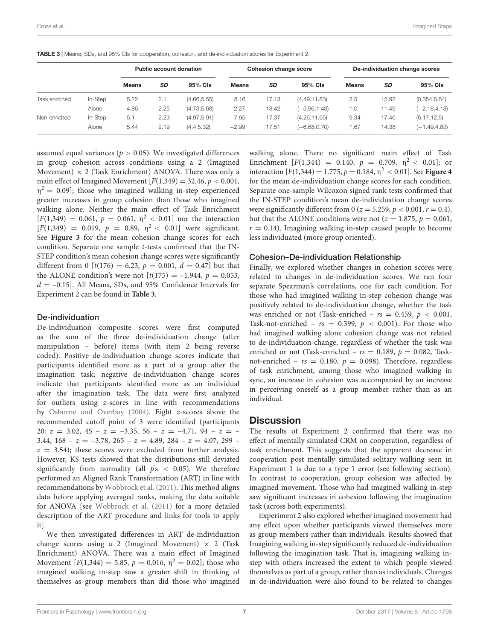<span id="page-7-0"></span>

|  |  | <b>TABLE 3</b>   Means, SDs, and 95% Cls for cooperation, cohesion, and de-individuation scores for Experiment 2. |
|--|--|-------------------------------------------------------------------------------------------------------------------|
|  |  |                                                                                                                   |

|               |         | <b>Public account donation</b> |      |              | <b>Cohesion change score</b> |           |                 | De-individuation change scores |           |                 |
|---------------|---------|--------------------------------|------|--------------|------------------------------|-----------|-----------------|--------------------------------|-----------|-----------------|
|               |         | <b>Means</b>                   | SD   | 95% Cls      | <b>Means</b>                 | <b>SD</b> | 95% Cls         | <b>Means</b>                   | <b>SD</b> | 95% CIs         |
| Task enriched | In-Step | 5.22                           | 2.1  | (4.66, 5.55) | 8.16                         | 17.13     | (4.49, 11.83)   | 3.5                            | 15.92     | (0.354, 6.64)   |
|               | Alone   | 4.86                           | 2.25 | (4.73, 5.68) | $-2.27$                      | 18.42     | $(-5.96, 1.43)$ | $\overline{0}$ .               | 11.49     | $(-2.18, 4.18)$ |
| Non-enriched  | In-Step | 5.1                            | 2.23 | (4.97, 5.91) | 7.95                         | 17.37     | (4.26, 11.65)   | 9.34                           | 17.46     | (6.17, 12.5)    |
|               | Alone   | 5.44                           | 2.19 | (4.4, 5.32)  | $-2.99$                      | 17.51     | $(-6.68, 0.70)$ | . 67                           | 14.38     | $(-1.49, 4.83)$ |

assumed equal variances ( $p > 0.05$ ). We investigated differences in group cohesion across conditions using a 2 (Imagined Movement)  $\times$  2 (Task Enrichment) ANOVA. There was only a main effect of Imagined Movement  $[F(1,349) = 32.46, p < 0.001,$  $\eta^2 = 0.09$ ]; those who imagined walking in-step experienced greater increases in group cohesion than those who imagined walking alone. Neither the main effect of Task Enrichment  $[F(1,349) = 0.061, p = 0.061, \eta^2 < 0.01]$  nor the interaction  $[F(1,349) = 0.019, p = 0.89, \eta^2 < 0.01]$  were significant. See **[Figure 3](#page-8-0)** for the mean cohesion change scores for each condition. Separate one sample t-tests confirmed that the IN-STEP condition's mean cohesion change scores were significantly different from 0 [t(176) = 6.23,  $p = 0.001$ ,  $d = 0.47$ ] but that the ALONE condition's were not  $[t(175) = -1.944, p = 0.053,$  $d = -0.15$ . All Means, SDs, and 95% Confidence Intervals for Experiment 2 can be found in **[Table 3](#page-7-0)**.

#### De-individuation

De-individuation composite scores were first computed as the sum of the three de-individuation change (after manipulation – before) items (with item 2 being reverse coded). Positive de-individuation change scores indicate that participants identified more as a part of a group after the imagination task; negative de-individuation change scores indicate that participants identified more as an individual after the imagination task. The data were first analyzed for outliers using z-scores in line with recommendations by [Osborne and Overbay](#page-10-17) [\(2004\)](#page-10-17). Eight z-scores above the recommended cutoff point of 3 were identified (participants 20:  $z = 3.02, 45 - z = -3.35, 56 - z = -4.71, 94 - z = -$ 3.44,  $168 - z = -3.78$ ,  $265 - z = 4.89$ ,  $284 - z = 4.07$ ,  $299 - z = 4.07$  $z = 3.54$ ; these scores were excluded from further analysis. However, KS tests showed that the distributions still deviated significantly from normality (all  $p's < 0.05$ ). We therefore performed an Aligned Rank Transformation (ART) in line with recommendations by [Wobbrock et al.](#page-10-20) [\(2011\)](#page-10-20). This method aligns data before applying averaged ranks, making the data suitable for ANOVA [see [Wobbrock et al.](#page-10-20) [\(2011\)](#page-10-20) for a more detailed description of the ART procedure and links for tools to apply it].

We then investigated differences in ART de-individuation change scores using a 2 (Imagined Movement)  $\times$  2 (Task Enrichment) ANOVA. There was a main effect of Imagined Movement  $[F(1,344) = 5.85, p = 0.016, \eta^2 = 0.02]$ ; those who imagined walking in-step saw a greater shift in thinking of themselves as group members than did those who imagined

walking alone. There no significant main effect of Task Enrichment  $[F(1,344) = 0.140, p = 0.709, \eta^2 < 0.01]$ ; or interaction  $[F(1,344) = 1.775, p = 0.184, \eta^2 < 0.01]$ . See **[Figure 4](#page-8-1)** for the mean de-individuation change scores for each condition. Separate one-sample Wilcoxon signed rank tests confirmed that the IN-STEP condition's mean de-individuation change scores were significantly different from 0 ( $z = 5.259$ ,  $p < 0.001$ ,  $r = 0.4$ ), but that the ALONE conditions were not ( $z = 1.875$ ,  $p = 0.061$ ,  $r = 0.14$ ). Imagining walking in-step caused people to become less individuated (more group oriented).

#### Cohesion–De-individuation Relationship

Finally, we explored whether changes in cohesion scores were related to changes in de-individuation scores. We ran four separate Spearman's correlations, one for each condition. For those who had imagined walking in-step cohesion change was positively related to de-individuation change, whether the task was enriched or not (Task-enriched –  $rs = 0.459$ ,  $p < 0.001$ , Task-not-enriched –  $rs = 0.399$ ,  $p < 0.001$ ). For those who had imagined walking alone cohesion change was not related to de-individuation change, regardless of whether the task was enriched or not (Task-enriched –  $rs = 0.189$ ,  $p = 0.082$ , Tasknot-enriched –  $rs = 0.180$ ,  $p = 0.098$ ). Therefore, regardless of task enrichment, among those who imagined walking in sync, an increase in cohesion was accompanied by an increase in perceiving oneself as a group member rather than as an individual.

## **Discussion**

The results of Experiment 2 confirmed that there was no effect of mentally simulated CRM on cooperation, regardless of task enrichment. This suggests that the apparent decrease in cooperation post mentally simulated solitary walking seen in Experiment 1 is due to a type 1 error (see following section). In contrast to cooperation, group cohesion was affected by imagined movement. Those who had imagined walking in-step saw significant increases in cohesion following the imagination task (across both experiments).

Experiment 2 also explored whether imagined movement had any effect upon whether participants viewed themselves more as group members rather than individuals. Results showed that Imagining walking in-step significantly reduced de-individuation following the imagination task. That is, imagining walking instep with others increased the extent to which people viewed themselves as part of a group, rather than as individuals. Changes in de-individuation were also found to be related to changes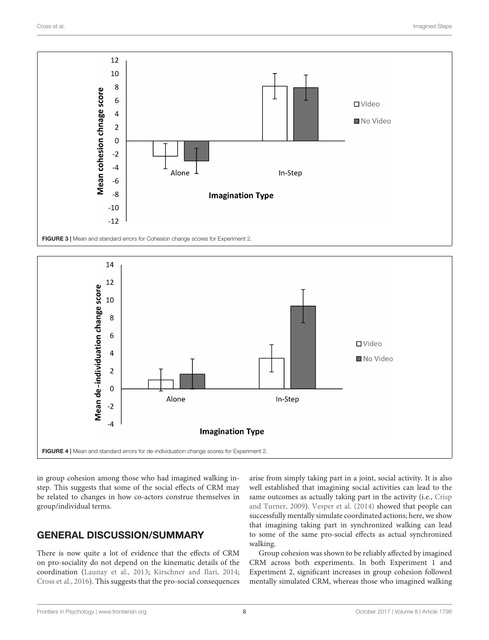

<span id="page-8-0"></span>

<span id="page-8-1"></span>in group cohesion among those who had imagined walking instep. This suggests that some of the social effects of CRM may be related to changes in how co-actors construe themselves in group/individual terms.

# GENERAL DISCUSSION/SUMMARY

There is now quite a lot of evidence that the effects of CRM on pro-sociality do not depend on the kinematic details of the coordination [\(Launay et al.,](#page-10-3) [2013;](#page-10-3) [Kirschner and Ilari,](#page-10-4) [2014;](#page-10-4) [Cross et al.,](#page-9-0) [2016\)](#page-9-0). This suggests that the pro-social consequences

arise from simply taking part in a joint, social activity. It is also well established that imagining social activities can lead to the same outcomes as actually taking part in the activity (i.e., [Crisp](#page-9-1) [and Turner,](#page-9-1) [2009\)](#page-9-1). [Vesper et al.](#page-10-12) [\(2014\)](#page-10-12) showed that people can successfully mentally simulate coordinated actions; here, we show that imagining taking part in synchronized walking can lead to some of the same pro-social effects as actual synchronized walking.

Group cohesion was shown to be reliably affected by imagined CRM across both experiments. In both Experiment 1 and Experiment 2, significant increases in group cohesion followed mentally simulated CRM, whereas those who imagined walking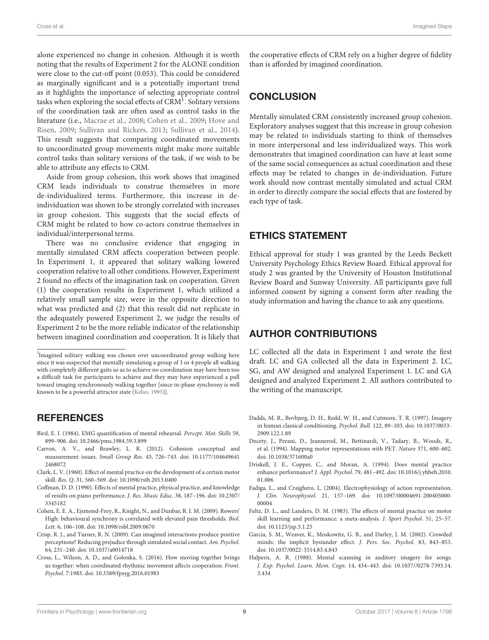alone experienced no change in cohesion. Although it is worth noting that the results of Experiment 2 for the ALONE condition were close to the cut-off point (0.053). This could be considered as marginally significant and is a potentially important trend as it highlights the importance of selecting appropriate control tasks when exploring the social effects of  $\mathrm{CRM^1}.$  Solitary versions of the coordination task are often used as control tasks in the literature (i.e., [Macrae et al.,](#page-10-21) [2008;](#page-10-21) [Cohen et al.,](#page-9-13) [2009;](#page-9-13) [Hove and](#page-10-0) [Risen,](#page-10-0) [2009;](#page-10-0) [Sullivan and Rickers,](#page-10-22) [2013;](#page-10-22) [Sullivan et al.,](#page-10-23) [2014\)](#page-10-23). This result suggests that comparing coordinated movements to uncoordinated group movements might make more suitable control tasks than solitary versions of the task, if we wish to be able to attribute any effects to CRM.

Aside from group cohesion, this work shows that imagined CRM leads individuals to construe themselves in more de-individualized terms. Furthermore, this increase in deindividuation was shown to be strongly correlated with increases in group cohesion. This suggests that the social effects of CRM might be related to how co-actors construe themselves in individual/interpersonal terms.

There was no conclusive evidence that engaging in mentally simulated CRM affects cooperation between people. In Experiment 1, it appeared that solitary walking lowered cooperation relative to all other conditions. However, Experiment 2 found no effects of the imagination task on cooperation. Given (1) the cooperation results in Experiment 1, which utilized a relatively small sample size, were in the opposite direction to what was predicted and (2) that this result did not replicate in the adequately powered Experiment 2, we judge the results of Experiment 2 to be the more reliable indicator of the relationship between imagined coordination and cooperation. It is likely that

## **REFERENCES**

- <span id="page-9-10"></span>Bird, E. I. (1984). EMG quantification of mental rehearsal. Percept. Mot. Skills 59, 899–906. [doi: 10.2466/pms.1984.59.3.899](https://doi.org/10.2466/pms.1984.59.3.899)
- <span id="page-9-12"></span>Carron, A. V., and Brawley, L. R. (2012). Cohesion conceptual and measurement issues. Small Group Res. 43, 726–743. [doi: 10.1177/104649641](https://doi.org/10.1177/1046496412468072) [2468072](https://doi.org/10.1177/1046496412468072)
- <span id="page-9-5"></span>Clark, L. V. (1960). Effect of mental practice on the development of a certain motor skill. Res. Q. 31, 560–569. [doi: 10.1098/rstb.2013.0400](https://doi.org/10.1098/rstb.2013.0400)
- <span id="page-9-6"></span>Coffman, D. D. (1990). Effects of mental practice, physical practice, and knowledge of results on piano performance. J. Res. Music Educ. 38, 187–196. [doi: 10.2307/](https://doi.org/10.2307/3345182) [3345182](https://doi.org/10.2307/3345182)
- <span id="page-9-13"></span>Cohen, E. E. A., Ejsmond-Frey, R., Knight, N., and Dunbar, R. I. M. (2009). Rowers' High: behavioural synchrony is correlated with elevated pain thresholds. Biol. Lett. 6, 106–108. [doi: 10.1098/rsbl.2009.0670](https://doi.org/10.1098/rsbl.2009.0670)
- <span id="page-9-1"></span>Crisp, R. J., and Turner, R. N. (2009). Can imagined interactions produce positive perceptions? Reducing prejudice through simulated social contact. Am. Psychol. 64, 231–240. [doi: 10.1037/a0014718](https://doi.org/10.1037/a0014718)
- <span id="page-9-0"></span>Cross, L., Wilson, A. D., and Golonka, S. (2016). How moving together brings us together: when coordinated rhythmic movement affects cooperation. Front. Psychol. 7:1983. [doi: 10.3389/fpsyg.2016.01983](https://doi.org/10.3389/fpsyg.2016.01983)

the cooperative effects of CRM rely on a higher degree of fidelity than is afforded by imagined coordination.

## **CONCLUSION**

Mentally simulated CRM consistently increased group cohesion. Exploratory analyses suggest that this increase in group cohesion may be related to individuals starting to think of themselves in more interpersonal and less individualized ways. This work demonstrates that imagined coordination can have at least some of the same social consequences as actual coordination and these effects may be related to changes in de-individuation. Future work should now contrast mentally simulated and actual CRM in order to directly compare the social effects that are fostered by each type of task.

## ETHICS STATEMENT

Ethical approval for study 1 was granted by the Leeds Beckett University Psychology Ethics Review Board. Ethical approval for study 2 was granted by the University of Houston Institutional Review Board and Sunway University. All participants gave full informed consent by signing a consent form after reading the study information and having the chance to ask any questions.

## AUTHOR CONTRIBUTIONS

LC collected all the data in Experiment 1 and wrote the first draft. LC and GA collected all the data in Experiment 2. LC, SG, and AW designed and analyzed Experiment 1. LC and GA designed and analyzed Experiment 2. All authors contributed to the writing of the manuscript.

- <span id="page-9-7"></span>Dadds, M. R., Bovbjerg, D. H., Redd, W. H., and Cutmore, T. R. (1997). Imagery in human classical conditioning. Psychol. Bull. 122, 89–103. [doi: 10.1037/0033-](https://doi.org/10.1037/0033-2909.122.1.89) [2909.122.1.89](https://doi.org/10.1037/0033-2909.122.1.89)
- <span id="page-9-2"></span>Decety, J., Perani, D., Jeannerod, M., Bettinardi, V., Tadary, B., Woods, R., et al. (1994). Mapping motor representations with PET. Nature 371, 600–602. [doi: 10.1038/371600a0](https://doi.org/10.1038/371600a0)
- <span id="page-9-4"></span>Driskell, J. E., Copper, C., and Moran, A. (1994). Does mental practice enhance performance? J. Appl. Psychol. 79, 481–492. [doi: 10.1016/j.yhbeh.2010.](https://doi.org/10.1016/j.yhbeh.2010.01.006) [01.006](https://doi.org/10.1016/j.yhbeh.2010.01.006)
- <span id="page-9-9"></span>Fadiga, L., and Craighero, L. (2004). Electrophysiology of action representation. J. Clin. Neurophysiol. 21, 157–169. [doi: 10.1097/00004691-200405000-](https://doi.org/10.1097/00004691-200405000-00004) [00004](https://doi.org/10.1097/00004691-200405000-00004)
- <span id="page-9-3"></span>Feltz, D. L., and Landers, D. M. (1983). The effects of mental practice on motor skill learning and performance: a meta-analysis. J. Sport Psychol. 51, 25–57. [doi: 10.1123/jsp.5.1.25](https://doi.org/10.1123/jsp.5.1.25)
- <span id="page-9-8"></span>Garcia, S. M., Weaver, K., Moskowitz, G. B., and Darley, J. M. (2002). Crowded minds: the implicit bystander effect. J. Pers. Soc. Psychol. 83, 843–853. [doi: 10.1037/0022-3514.83.4.843](https://doi.org/10.1037/0022-3514.83.4.843)
- <span id="page-9-11"></span>Halpern, A. R. (1988). Mental scanning in auditory imagery for songs. J. Exp. Psychol. Learn. Mem. Cogn. 14, 434–443. [doi: 10.1037//0278-7393.14.](https://doi.org/10.1037//0278-7393.14.3.434) [3.434](https://doi.org/10.1037//0278-7393.14.3.434)

<sup>&</sup>lt;sup>1</sup>Imagined solitary walking was chosen over uncoordinated group walking here since it was suspected that mentally simulating a group of 3 or 4 people all walking with completely different gaits so as to achieve no coordination may have been too a difficult task for participants to achieve and they may have experienced a pull toward imaging synchronously walking together [since in-phase synchrony is well known to be a powerful attractor state [\(Kelso,](#page-10-24) [1995\)](#page-10-24)].